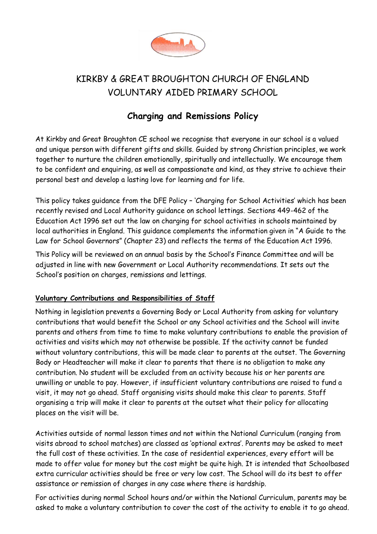

# KIRKBY & GREAT BROUGHTON CHURCH OF ENGLAND VOLUNTARY AIDED PRIMARY SCHOOL

## **Charging and Remissions Policy**

At Kirkby and Great Broughton CE school we recognise that everyone in our school is a valued and unique person with different gifts and skills. Guided by strong Christian principles, we work together to nurture the children emotionally, spiritually and intellectually. We encourage them to be confident and enquiring, as well as compassionate and kind, as they strive to achieve their personal best and develop a lasting love for learning and for life.

This policy takes guidance from the DFE Policy – 'Charging for School Activities' which has been recently revised and Local Authority guidance on school lettings. Sections 449-462 of the Education Act 1996 set out the law on charging for school activities in schools maintained by local authorities in England. This guidance complements the information given in "A Guide to the Law for School Governors" (Chapter 23) and reflects the terms of the Education Act 1996.

This Policy will be reviewed on an annual basis by the School's Finance Committee and will be adjusted in line with new Government or Local Authority recommendations. It sets out the School's position on charges, remissions and lettings.

### **Voluntary Contributions and Responsibilities of Staff**

Nothing in legislation prevents a Governing Body or Local Authority from asking for voluntary contributions that would benefit the School or any School activities and the School will invite parents and others from time to time to make voluntary contributions to enable the provision of activities and visits which may not otherwise be possible. If the activity cannot be funded without voluntary contributions, this will be made clear to parents at the outset. The Governing Body or Headteacher will make it clear to parents that there is no obligation to make any contribution. No student will be excluded from an activity because his or her parents are unwilling or unable to pay. However, if insufficient voluntary contributions are raised to fund a visit, it may not go ahead. Staff organising visits should make this clear to parents. Staff organising a trip will make it clear to parents at the outset what their policy for allocating places on the visit will be.

Activities outside of normal lesson times and not within the National Curriculum (ranging from visits abroad to school matches) are classed as 'optional extras'. Parents may be asked to meet the full cost of these activities. In the case of residential experiences, every effort will be made to offer value for money but the cost might be quite high. It is intended that Schoolbased extra curricular activities should be free or very low cost. The School will do its best to offer assistance or remission of charges in any case where there is hardship.

For activities during normal School hours and/or within the National Curriculum, parents may be asked to make a voluntary contribution to cover the cost of the activity to enable it to go ahead.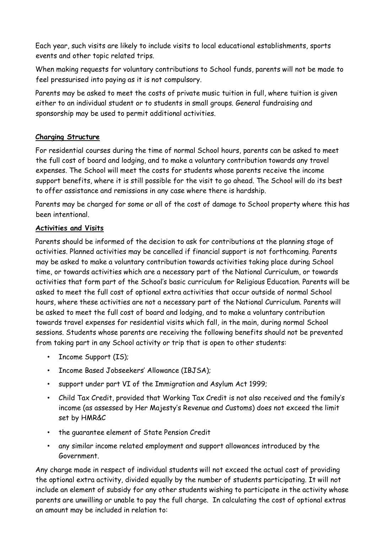Each year, such visits are likely to include visits to local educational establishments, sports events and other topic related trips.

When making requests for voluntary contributions to School funds, parents will not be made to feel pressurised into paying as it is not compulsory.

Parents may be asked to meet the costs of private music tuition in full, where tuition is given either to an individual student or to students in small groups. General fundraising and sponsorship may be used to permit additional activities.

### **Charging Structure**

For residential courses during the time of normal School hours, parents can be asked to meet the full cost of board and lodging, and to make a voluntary contribution towards any travel expenses. The School will meet the costs for students whose parents receive the income support benefits, where it is still possible for the visit to go ahead. The School will do its best to offer assistance and remissions in any case where there is hardship.

Parents may be charged for some or all of the cost of damage to School property where this has been intentional.

### **Activities and Visits**

Parents should be informed of the decision to ask for contributions at the planning stage of activities. Planned activities may be cancelled if financial support is not forthcoming. Parents may be asked to make a voluntary contribution towards activities taking place during School time, or towards activities which are a necessary part of the National Curriculum, or towards activities that form part of the School's basic curriculum for Religious Education. Parents will be asked to meet the full cost of optional extra activities that occur outside of normal School hours, where these activities are not a necessary part of the National Curriculum. Parents will be asked to meet the full cost of board and lodging, and to make a voluntary contribution towards travel expenses for residential visits which fall, in the main, during normal School sessions. Students whose parents are receiving the following benefits should not be prevented from taking part in any School activity or trip that is open to other students:

- Income Support (IS);
- Income Based Jobseekers' Allowance (IBJSA);
- support under part VI of the Immigration and Asylum Act 1999;
- Child Tax Credit, provided that Working Tax Credit is not also received and the family's income (as assessed by Her Majesty's Revenue and Customs) does not exceed the limit set by HMR&C
- the guarantee element of State Pension Credit
- any similar income related employment and support allowances introduced by the Government.

Any charge made in respect of individual students will not exceed the actual cost of providing the optional extra activity, divided equally by the number of students participating. It will not include an element of subsidy for any other students wishing to participate in the activity whose parents are unwilling or unable to pay the full charge. In calculating the cost of optional extras an amount may be included in relation to: